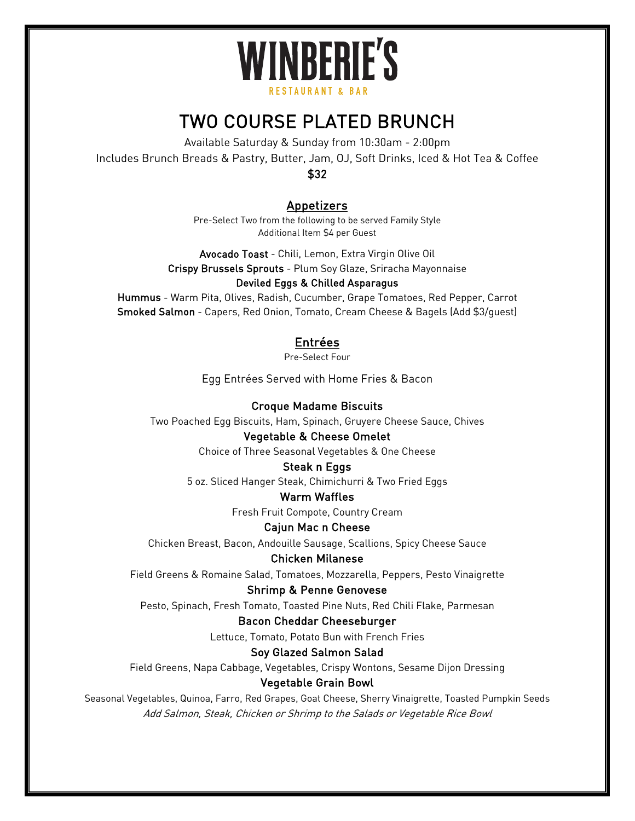# **WINBERIE'S** RESTAURANT & RAR

# TWO COURSE PLATED BRUNCH

Available Saturday & Sunday from 10:30am - 2:00pm Includes Brunch Breads & Pastry, Butter, Jam, OJ, Soft Drinks, Iced & Hot Tea & Coffee \$32

# Appetizers

Pre-Select Two from the following to be served Family Style Additional Item \$4 per Guest

Avocado Toast - Chili, Lemon, Extra Virgin Olive Oil Crispy Brussels Sprouts - Plum Soy Glaze, Sriracha Mayonnaise Deviled Eggs & Chilled Asparagus

# Hummus - Warm Pita, Olives, Radish, Cucumber, Grape Tomatoes, Red Pepper, Carrot Smoked Salmon - Capers, Red Onion, Tomato, Cream Cheese & Bagels (Add \$3/guest)

# Entrées

Pre-Select Four

Egg Entrées Served with Home Fries & Bacon

### Croque Madame Biscuits

Two Poached Egg Biscuits, Ham, Spinach, Gruyere Cheese Sauce, Chives

#### Vegetable & Cheese Omelet

Choice of Three Seasonal Vegetables & One Cheese

#### Steak n Eggs

5 oz. Sliced Hanger Steak, Chimichurri & Two Fried Eggs

#### Warm Waffles

Fresh Fruit Compote, Country Cream

#### Cajun Mac n Cheese

Chicken Breast, Bacon, Andouille Sausage, Scallions, Spicy Cheese Sauce

#### Chicken Milanese

Field Greens & Romaine Salad, Tomatoes, Mozzarella, Peppers, Pesto Vinaigrette

#### Shrimp & Penne Genovese

Pesto, Spinach, Fresh Tomato, Toasted Pine Nuts, Red Chili Flake, Parmesan

#### Bacon Cheddar Cheeseburger

Lettuce, Tomato, Potato Bun with French Fries

#### Soy Glazed Salmon Salad

Field Greens, Napa Cabbage, Vegetables, Crispy Wontons, Sesame Dijon Dressing

### Vegetable Grain Bowl

Seasonal Vegetables, Quinoa, Farro, Red Grapes, Goat Cheese, Sherry Vinaigrette, Toasted Pumpkin Seeds Add Salmon, Steak, Chicken or Shrimp to the Salads or Vegetable Rice Bowl